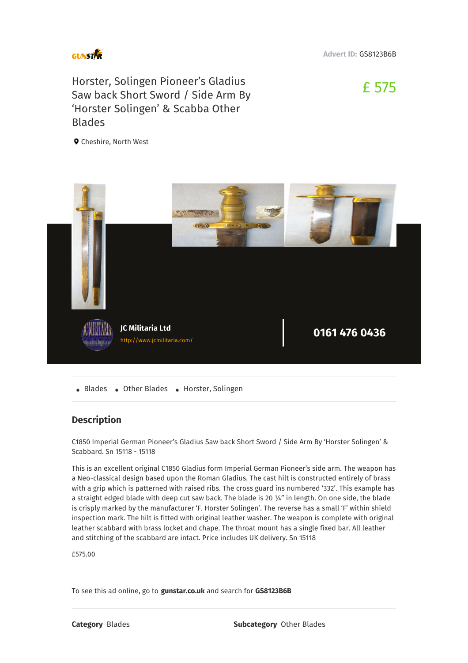

**Advert ID:** GS8123B6B

## Horster, Solingen Pioneer's Gladius Saw back Short Sword / Side Arm By 'Horster Solingen' & Scabba Other Blades

£ 575

**Q** Cheshire, North West



• Blades • Other Blades • Horster, Solingen

## **Description**

C1850 Imperial German Pioneer's Gladius Saw back Short Sword / Side Arm By 'Horster Solingen' & Scabbard. Sn 15118 - 15118

This is an excellent original C1850 Gladius form Imperial German Pioneer's side arm. The weapon has a Neo-classical design based upon the Roman Gladius. The cast hilt is constructed entirely of brass with a grip which is patterned with raised ribs. The cross guard ins numbered '332'. This example has a straight edged blade with deep cut saw back. The blade is 20 ¼" in length. On one side, the blade is crisply marked by the manufacturer 'F. Horster Solingen'. The reverse has a small 'F' within shield inspection mark. The hilt is fitted with original leather washer. The weapon is complete with original leather scabbard with brass locket and chape. The throat mount has a single fixed bar. All leather and stitching of the scabbard are intact. Price includes UK delivery. Sn 15118

£575.00

To see this ad online, go to **gunstar.co.uk** and search for **GS8123B6B**